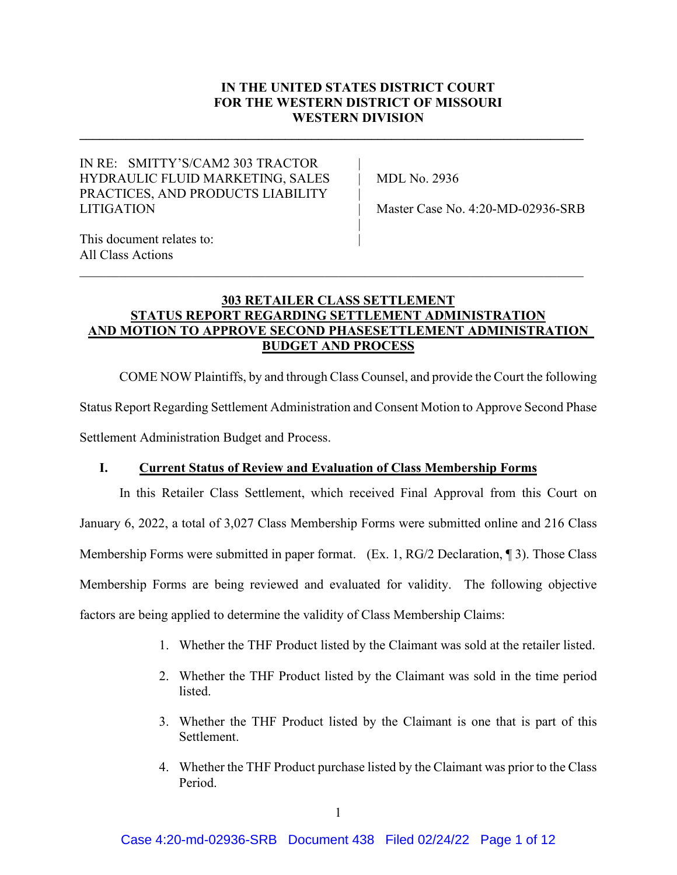# **IN THE UNITED STATES DISTRICT COURT FOR THE WESTERN DISTRICT OF MISSOURI WESTERN DIVISION**

|

**\_\_\_\_\_\_\_\_\_\_\_\_\_\_\_\_\_\_\_\_\_\_\_\_\_\_\_\_\_\_\_\_\_\_\_\_\_\_\_\_\_\_\_\_\_\_\_\_\_\_\_\_\_\_\_\_\_\_\_\_\_\_\_\_\_\_\_\_\_\_\_\_\_\_\_\_**

# IN RE: SMITTY'S/CAM2 303 TRACTOR HYDRAULIC FLUID MARKETING, SALES | MDL No. 2936 PRACTICES, AND PRODUCTS LIABILITY LITIGATION | Master Case No. 4:20-MD-02936-SRB

This document relates to: All Class Actions

# **303 RETAILER CLASS SETTLEMENT STATUS REPORT REGARDING SETTLEMENT ADMINISTRATION AND MOTION TO APPROVE SECOND PHASESETTLEMENT ADMINISTRATION BUDGET AND PROCESS**

\_\_\_\_\_\_\_\_\_\_\_\_\_\_\_\_\_\_\_\_\_\_\_\_\_\_\_\_\_\_\_\_\_\_\_\_\_\_\_\_\_\_\_\_\_\_\_\_\_\_\_\_\_\_\_\_\_\_\_\_\_\_\_\_\_\_\_\_\_\_\_\_\_\_\_\_

COME NOW Plaintiffs, by and through Class Counsel, and provide the Court the following Status Report Regarding Settlement Administration and Consent Motion to Approve Second Phase Settlement Administration Budget and Process.

# **I. Current Status of Review and Evaluation of Class Membership Forms**

In this Retailer Class Settlement, which received Final Approval from this Court on January 6, 2022, a total of 3,027 Class Membership Forms were submitted online and 216 Class Membership Forms were submitted in paper format. (Ex. 1, RG/2 Declaration, 1). Those Class Membership Forms are being reviewed and evaluated for validity. The following objective factors are being applied to determine the validity of Class Membership Claims:

- 1. Whether the THF Product listed by the Claimant was sold at the retailer listed.
- 2. Whether the THF Product listed by the Claimant was sold in the time period listed.
- 3. Whether the THF Product listed by the Claimant is one that is part of this Settlement.
- 4. Whether the THF Product purchase listed by the Claimant was prior to the Class Period.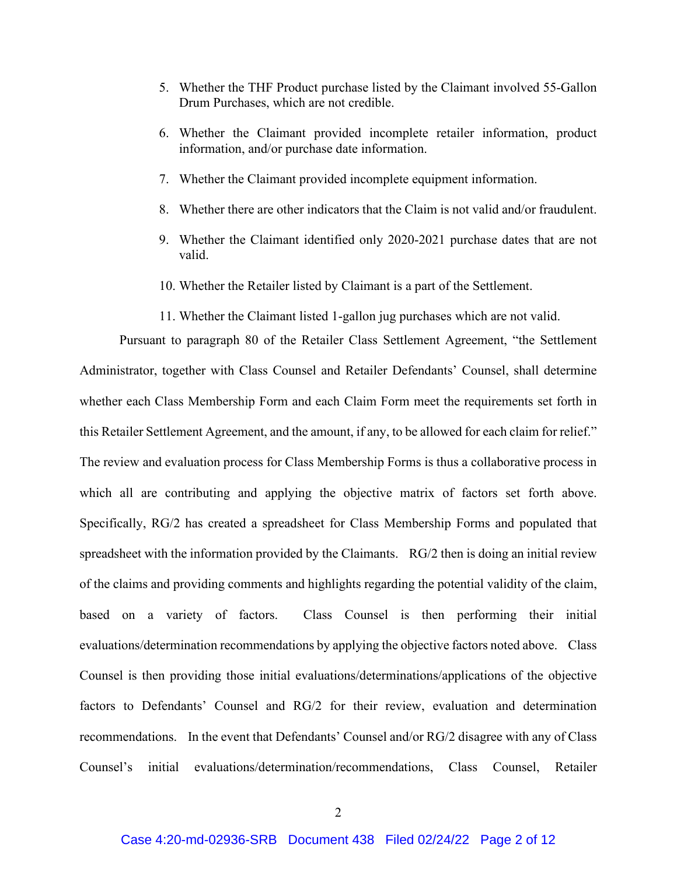- 5. Whether the THF Product purchase listed by the Claimant involved 55-Gallon Drum Purchases, which are not credible.
- 6. Whether the Claimant provided incomplete retailer information, product information, and/or purchase date information.
- 7. Whether the Claimant provided incomplete equipment information.
- 8. Whether there are other indicators that the Claim is not valid and/or fraudulent.
- 9. Whether the Claimant identified only 2020-2021 purchase dates that are not valid.
- 10. Whether the Retailer listed by Claimant is a part of the Settlement.
- 11. Whether the Claimant listed 1-gallon jug purchases which are not valid.

Pursuant to paragraph 80 of the Retailer Class Settlement Agreement, "the Settlement Administrator, together with Class Counsel and Retailer Defendants' Counsel, shall determine whether each Class Membership Form and each Claim Form meet the requirements set forth in this Retailer Settlement Agreement, and the amount, if any, to be allowed for each claim for relief." The review and evaluation process for Class Membership Forms is thus a collaborative process in which all are contributing and applying the objective matrix of factors set forth above. Specifically, RG/2 has created a spreadsheet for Class Membership Forms and populated that spreadsheet with the information provided by the Claimants. RG/2 then is doing an initial review of the claims and providing comments and highlights regarding the potential validity of the claim, based on a variety of factors. Class Counsel is then performing their initial evaluations/determination recommendations by applying the objective factors noted above. Class Counsel is then providing those initial evaluations/determinations/applications of the objective factors to Defendants' Counsel and RG/2 for their review, evaluation and determination recommendations. In the event that Defendants' Counsel and/or RG/2 disagree with any of Class Counsel's initial evaluations/determination/recommendations, Class Counsel, Retailer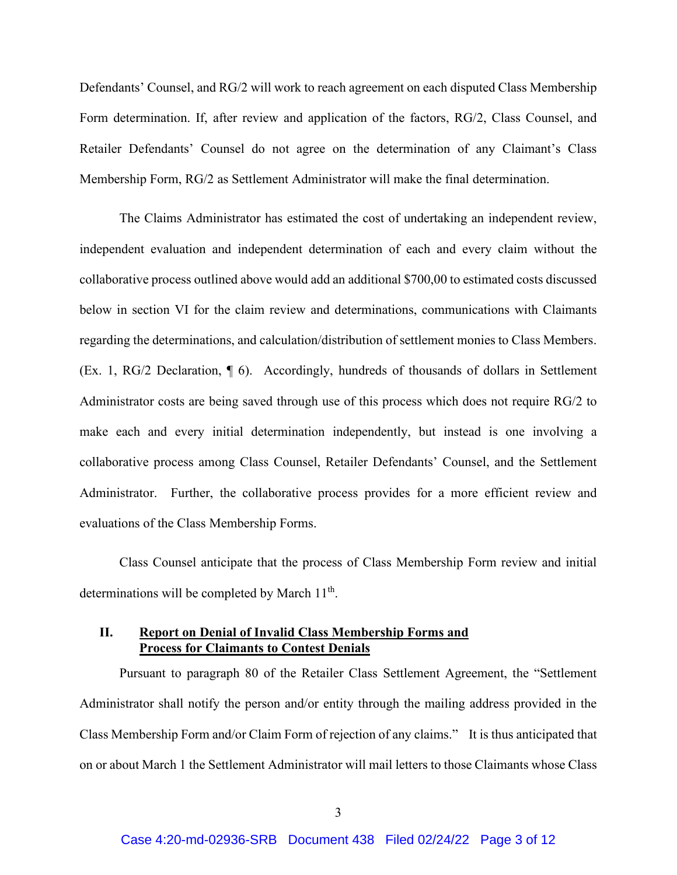Defendants' Counsel, and RG/2 will work to reach agreement on each disputed Class Membership Form determination. If, after review and application of the factors, RG/2, Class Counsel, and Retailer Defendants' Counsel do not agree on the determination of any Claimant's Class Membership Form, RG/2 as Settlement Administrator will make the final determination.

The Claims Administrator has estimated the cost of undertaking an independent review, independent evaluation and independent determination of each and every claim without the collaborative process outlined above would add an additional \$700,00 to estimated costs discussed below in section VI for the claim review and determinations, communications with Claimants regarding the determinations, and calculation/distribution of settlement monies to Class Members. (Ex. 1, RG/2 Declaration, ¶ 6). Accordingly, hundreds of thousands of dollars in Settlement Administrator costs are being saved through use of this process which does not require RG/2 to make each and every initial determination independently, but instead is one involving a collaborative process among Class Counsel, Retailer Defendants' Counsel, and the Settlement Administrator. Further, the collaborative process provides for a more efficient review and evaluations of the Class Membership Forms.

Class Counsel anticipate that the process of Class Membership Form review and initial determinations will be completed by March  $11<sup>th</sup>$ .

# **II. Report on Denial of Invalid Class Membership Forms and Process for Claimants to Contest Denials**

Pursuant to paragraph 80 of the Retailer Class Settlement Agreement, the "Settlement Administrator shall notify the person and/or entity through the mailing address provided in the Class Membership Form and/or Claim Form of rejection of any claims." It is thus anticipated that on or about March 1 the Settlement Administrator will mail letters to those Claimants whose Class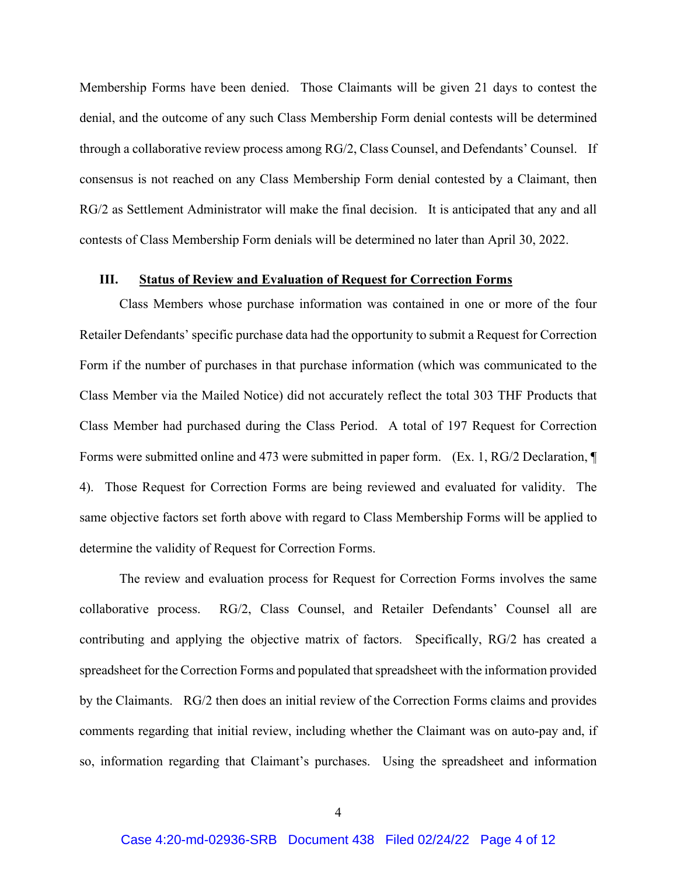Membership Forms have been denied. Those Claimants will be given 21 days to contest the denial, and the outcome of any such Class Membership Form denial contests will be determined through a collaborative review process among RG/2, Class Counsel, and Defendants' Counsel. If consensus is not reached on any Class Membership Form denial contested by a Claimant, then RG/2 as Settlement Administrator will make the final decision. It is anticipated that any and all contests of Class Membership Form denials will be determined no later than April 30, 2022.

#### **III. Status of Review and Evaluation of Request for Correction Forms**

Class Members whose purchase information was contained in one or more of the four Retailer Defendants' specific purchase data had the opportunity to submit a Request for Correction Form if the number of purchases in that purchase information (which was communicated to the Class Member via the Mailed Notice) did not accurately reflect the total 303 THF Products that Class Member had purchased during the Class Period. A total of 197 Request for Correction Forms were submitted online and 473 were submitted in paper form. (Ex. 1, RG/2 Declaration, ¶ 4). Those Request for Correction Forms are being reviewed and evaluated for validity. The same objective factors set forth above with regard to Class Membership Forms will be applied to determine the validity of Request for Correction Forms.

The review and evaluation process for Request for Correction Forms involves the same collaborative process. RG/2, Class Counsel, and Retailer Defendants' Counsel all are contributing and applying the objective matrix of factors. Specifically, RG/2 has created a spreadsheet for the Correction Forms and populated that spreadsheet with the information provided by the Claimants. RG/2 then does an initial review of the Correction Forms claims and provides comments regarding that initial review, including whether the Claimant was on auto-pay and, if so, information regarding that Claimant's purchases. Using the spreadsheet and information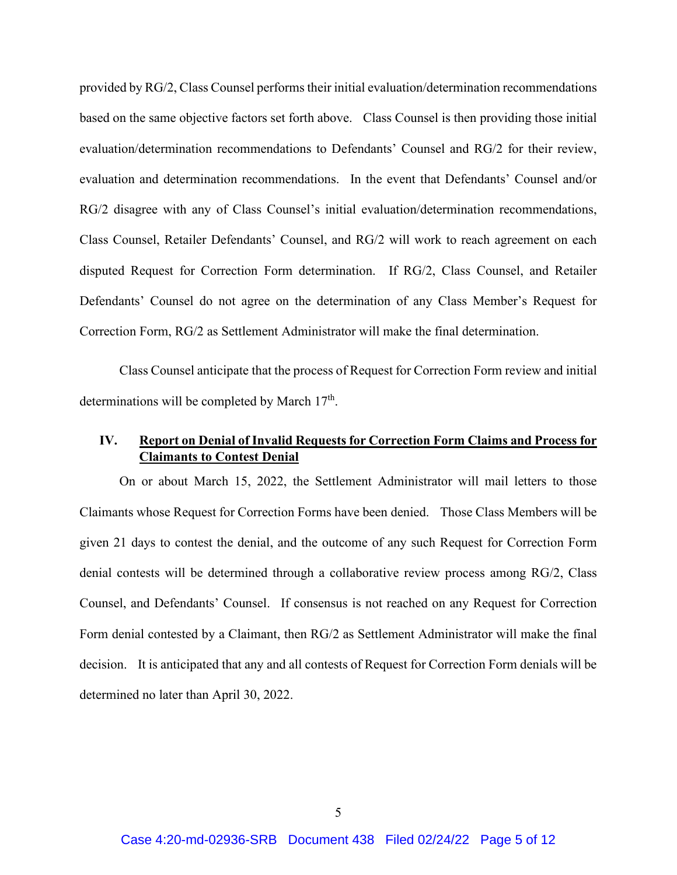provided by RG/2, Class Counsel performs their initial evaluation/determination recommendations based on the same objective factors set forth above. Class Counsel is then providing those initial evaluation/determination recommendations to Defendants' Counsel and RG/2 for their review, evaluation and determination recommendations. In the event that Defendants' Counsel and/or RG/2 disagree with any of Class Counsel's initial evaluation/determination recommendations, Class Counsel, Retailer Defendants' Counsel, and RG/2 will work to reach agreement on each disputed Request for Correction Form determination. If RG/2, Class Counsel, and Retailer Defendants' Counsel do not agree on the determination of any Class Member's Request for Correction Form, RG/2 as Settlement Administrator will make the final determination.

Class Counsel anticipate that the process of Request for Correction Form review and initial determinations will be completed by March  $17<sup>th</sup>$ .

# **IV. Report on Denial of Invalid Requests for Correction Form Claims and Process for Claimants to Contest Denial**

On or about March 15, 2022, the Settlement Administrator will mail letters to those Claimants whose Request for Correction Forms have been denied. Those Class Members will be given 21 days to contest the denial, and the outcome of any such Request for Correction Form denial contests will be determined through a collaborative review process among RG/2, Class Counsel, and Defendants' Counsel. If consensus is not reached on any Request for Correction Form denial contested by a Claimant, then RG/2 as Settlement Administrator will make the final decision. It is anticipated that any and all contests of Request for Correction Form denials will be determined no later than April 30, 2022.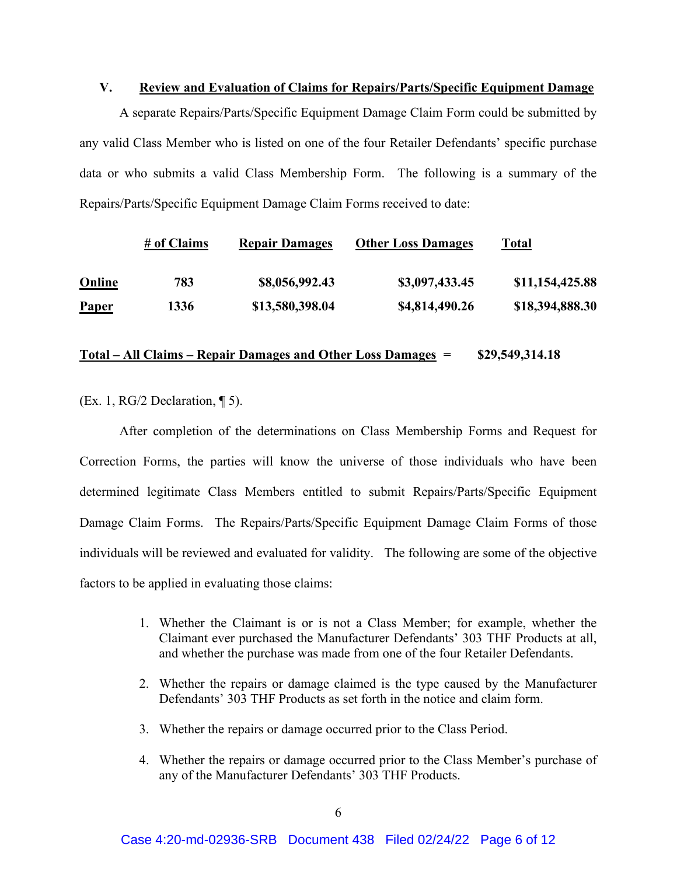### **V. Review and Evaluation of Claims for Repairs/Parts/Specific Equipment Damage**

A separate Repairs/Parts/Specific Equipment Damage Claim Form could be submitted by any valid Class Member who is listed on one of the four Retailer Defendants' specific purchase data or who submits a valid Class Membership Form. The following is a summary of the Repairs/Parts/Specific Equipment Damage Claim Forms received to date:

|               | # of Claims | <b>Repair Damages</b> | <b>Other Loss Damages</b> | Total           |
|---------------|-------------|-----------------------|---------------------------|-----------------|
| <b>Online</b> | 783         | \$8,056,992.43        | \$3,097,433.45            | \$11,154,425.88 |
| <b>Paper</b>  | 1336        | \$13,580,398.04       | \$4,814,490.26            | \$18,394,888.30 |

#### **Total – All Claims – Repair Damages and Other Loss Damages = \$29,549,314.18**

(Ex. 1, RG/2 Declaration,  $\P$  5).

After completion of the determinations on Class Membership Forms and Request for Correction Forms, the parties will know the universe of those individuals who have been determined legitimate Class Members entitled to submit Repairs/Parts/Specific Equipment Damage Claim Forms. The Repairs/Parts/Specific Equipment Damage Claim Forms of those individuals will be reviewed and evaluated for validity. The following are some of the objective factors to be applied in evaluating those claims:

- 1. Whether the Claimant is or is not a Class Member; for example, whether the Claimant ever purchased the Manufacturer Defendants' 303 THF Products at all, and whether the purchase was made from one of the four Retailer Defendants.
- 2. Whether the repairs or damage claimed is the type caused by the Manufacturer Defendants' 303 THF Products as set forth in the notice and claim form.
- 3. Whether the repairs or damage occurred prior to the Class Period.
- 4. Whether the repairs or damage occurred prior to the Class Member's purchase of any of the Manufacturer Defendants' 303 THF Products.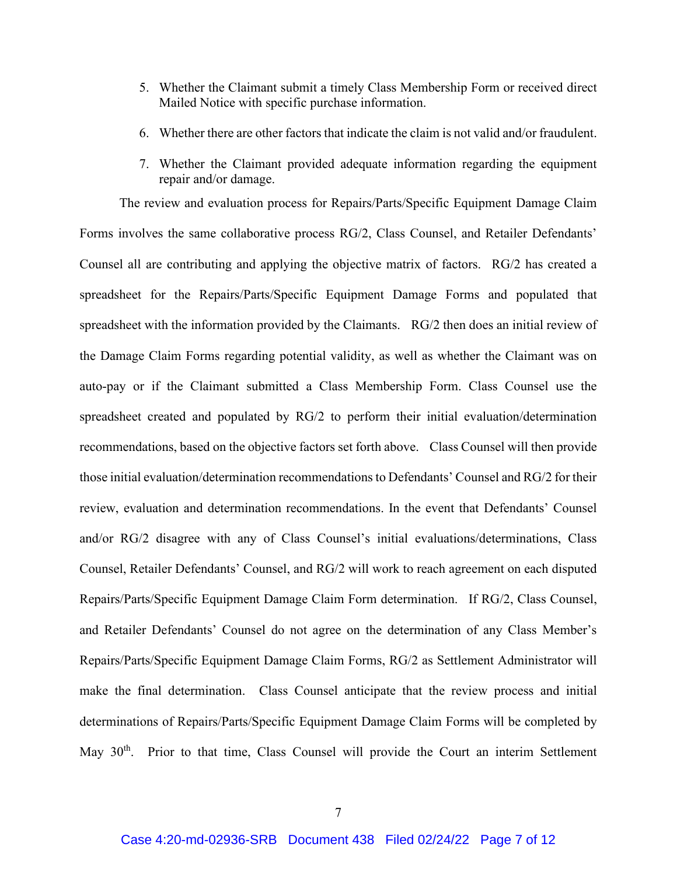- 5. Whether the Claimant submit a timely Class Membership Form or received direct Mailed Notice with specific purchase information.
- 6. Whether there are other factors that indicate the claim is not valid and/or fraudulent.
- 7. Whether the Claimant provided adequate information regarding the equipment repair and/or damage.

The review and evaluation process for Repairs/Parts/Specific Equipment Damage Claim Forms involves the same collaborative process RG/2, Class Counsel, and Retailer Defendants' Counsel all are contributing and applying the objective matrix of factors. RG/2 has created a spreadsheet for the Repairs/Parts/Specific Equipment Damage Forms and populated that spreadsheet with the information provided by the Claimants. RG/2 then does an initial review of the Damage Claim Forms regarding potential validity, as well as whether the Claimant was on auto-pay or if the Claimant submitted a Class Membership Form. Class Counsel use the spreadsheet created and populated by RG/2 to perform their initial evaluation/determination recommendations, based on the objective factors set forth above. Class Counsel will then provide those initial evaluation/determination recommendationsto Defendants' Counsel and RG/2 for their review, evaluation and determination recommendations. In the event that Defendants' Counsel and/or RG/2 disagree with any of Class Counsel's initial evaluations/determinations, Class Counsel, Retailer Defendants' Counsel, and RG/2 will work to reach agreement on each disputed Repairs/Parts/Specific Equipment Damage Claim Form determination. If RG/2, Class Counsel, and Retailer Defendants' Counsel do not agree on the determination of any Class Member's Repairs/Parts/Specific Equipment Damage Claim Forms, RG/2 as Settlement Administrator will make the final determination. Class Counsel anticipate that the review process and initial determinations of Repairs/Parts/Specific Equipment Damage Claim Forms will be completed by May 30<sup>th</sup>. Prior to that time, Class Counsel will provide the Court an interim Settlement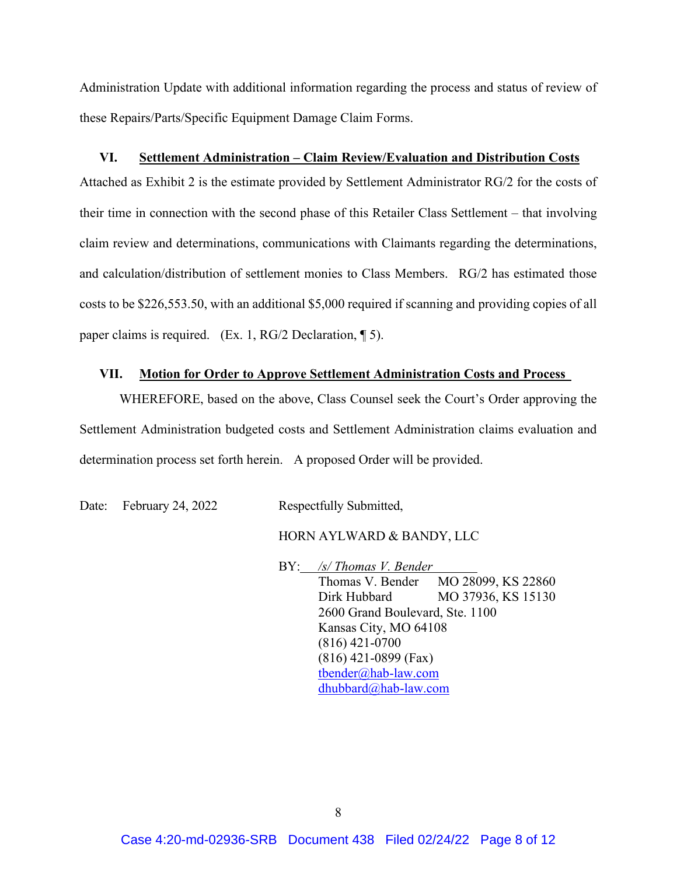Administration Update with additional information regarding the process and status of review of these Repairs/Parts/Specific Equipment Damage Claim Forms.

#### **VI. Settlement Administration – Claim Review/Evaluation and Distribution Costs**

Attached as Exhibit 2 is the estimate provided by Settlement Administrator RG/2 for the costs of their time in connection with the second phase of this Retailer Class Settlement – that involving claim review and determinations, communications with Claimants regarding the determinations, and calculation/distribution of settlement monies to Class Members. RG/2 has estimated those costs to be \$226,553.50, with an additional \$5,000 required if scanning and providing copies of all paper claims is required. (Ex. 1, RG/2 Declaration, ¶ 5).

#### **VII. Motion for Order to Approve Settlement Administration Costs and Process**

WHEREFORE, based on the above, Class Counsel seek the Court's Order approving the Settlement Administration budgeted costs and Settlement Administration claims evaluation and determination process set forth herein. A proposed Order will be provided.

Date: February 24, 2022 Respectfully Submitted,

#### HORN AYLWARD & BANDY, LLC

BY: */s/ Thomas V. Bender* Thomas V. Bender MO 28099, KS 22860 Dirk Hubbard MO 37936, KS 15130 2600 Grand Boulevard, Ste. 1100 Kansas City, MO 64108 (816) 421-0700 (816) 421-0899 (Fax) [tbender@hab-law.com](mailto:tbender@hab-law.com) [dhubbard@hab-law.com](mailto:dhubbard@hab-law.com)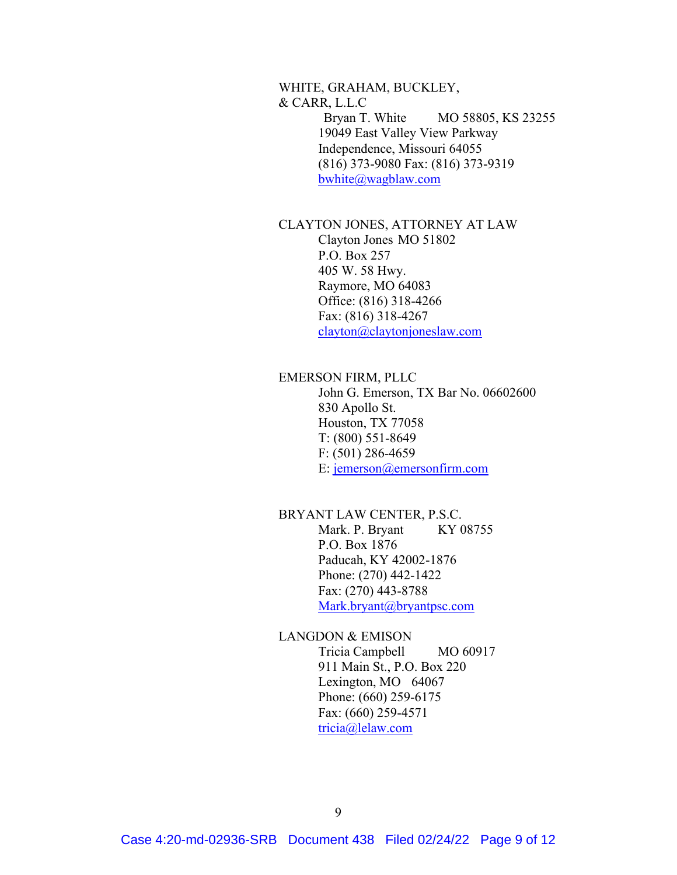# WHITE, GRAHAM, BUCKLEY, & CARR, L.L.C Bryan T. White MO 58805, KS 23255 19049 East Valley View Parkway Independence, Missouri 64055 (816) 373-9080 Fax: (816) 373-9319 [bwhite@wagblaw.com](mailto:bwhite@wagblaw.com)

### CLAYTON JONES, ATTORNEY AT LAW Clayton Jones MO 51802 P.O. Box 257

405 W. 58 Hwy. Raymore, MO 64083 Office: (816) 318-4266 Fax: (816) 318-4267 [clayton@claytonjoneslaw.com](mailto:clayton@claytonjoneslaw.com)

# EMERSON FIRM, PLLC

John G. Emerson, TX Bar No. 06602600 830 Apollo St. Houston, TX 77058 T: (800) 551-8649 F: (501) 286-4659 E: [jemerson@emersonfirm.com](mailto:jemerson@emersonfirm.com)

# BRYANT LAW CENTER, P.S.C. Mark. P. Bryant KY 08755 P.O. Box 1876 Paducah, KY 42002-1876 Phone: (270) 442-1422 Fax: (270) 443-8788 [Mark.bryant@bryantpsc.com](mailto:Mark.bryant@bryantpsc.com)

# LANGDON & EMISON

Tricia Campbell MO 60917 911 Main St., P.O. Box 220 Lexington, MO 64067 Phone: (660) 259-6175 Fax: (660) 259-4571 [tricia@lelaw.com](mailto:tricia@lelaw.com)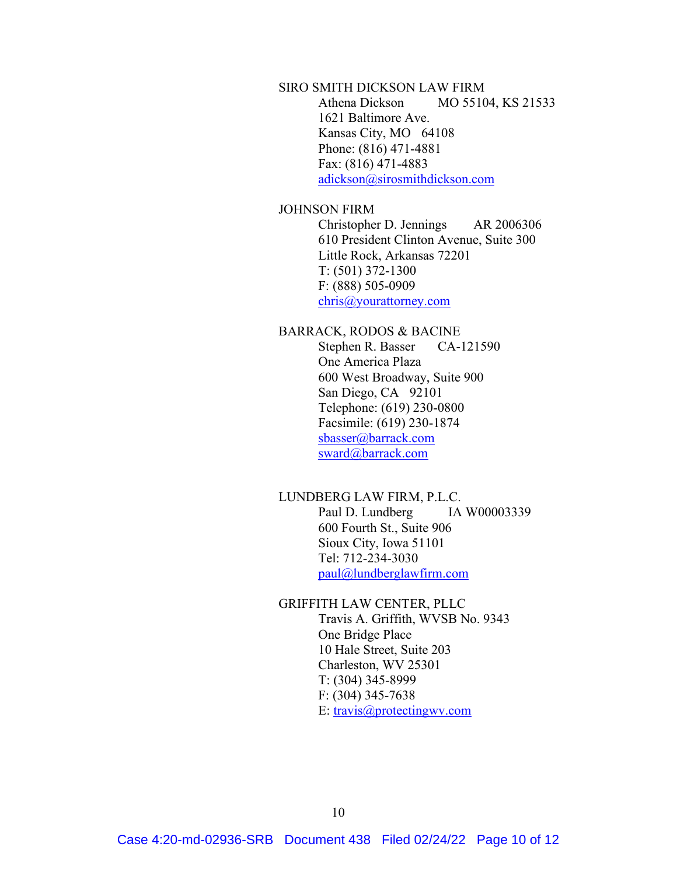# SIRO SMITH DICKSON LAW FIRM Athena Dickson MO 55104, KS 21533 1621 Baltimore Ave. Kansas City, MO 64108 Phone: (816) 471-4881 Fax: (816) 471-4883 [adickson@sirosmithdickson.com](mailto:adickson@sirosmithdickson.com)

#### JOHNSON FIRM

Christopher D. Jennings AR 2006306 610 President Clinton Avenue, Suite 300 Little Rock, Arkansas 72201 T: (501) 372-1300 F: (888) 505-0909 [chris@yourattorney.com](mailto:chris@yourattorney.com)

#### BARRACK, RODOS & BACINE

Stephen R. Basser CA-121590 One America Plaza 600 West Broadway, Suite 900 San Diego, CA 92101 Telephone: (619) 230-0800 Facsimile: (619) 230-1874 [sbasser@barrack.com](mailto:sbasser@barrack.com) [sward@barrack.com](mailto:sward@barrack.com)

### LUNDBERG LAW FIRM, P.L.C.

Paul D. Lundberg IA W00003339 600 Fourth St., Suite 906 Sioux City, Iowa 51101 Tel: 712-234-3030 [paul@lundberglawfirm.com](mailto:paul@lundberglawfirm.com)

#### GRIFFITH LAW CENTER, PLLC

Travis A. Griffith, WVSB No. 9343 One Bridge Place 10 Hale Street, Suite 203 Charleston, WV 25301 T: (304) 345-8999 F: (304) 345-7638 E: [travis@protectingwv.com](mailto:travis@protectingwv.com)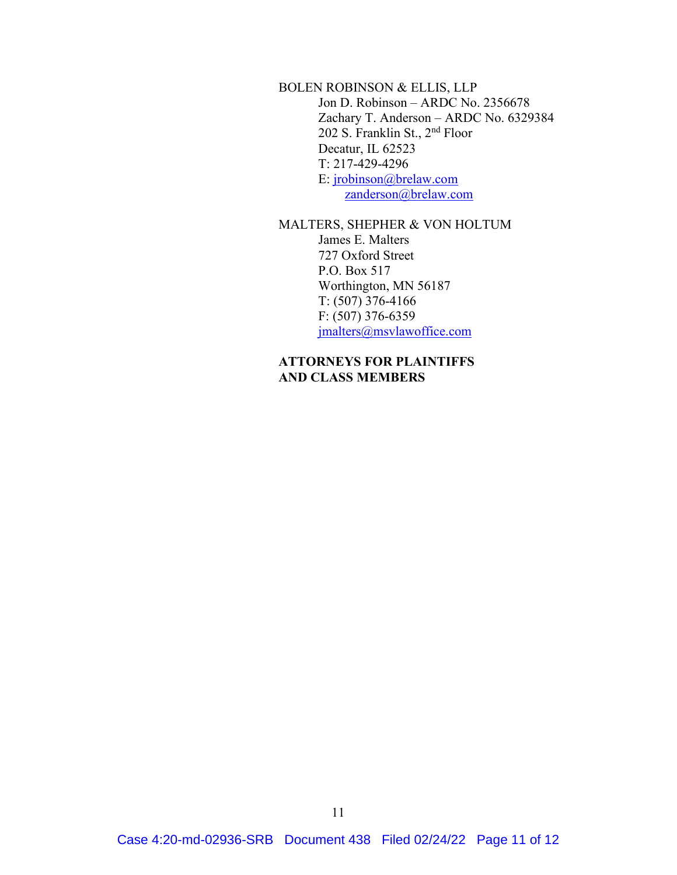BOLEN ROBINSON & ELLIS, LLP Jon D. Robinson – ARDC No. 2356678 Zachary T. Anderson – ARDC No. 6329384 202 S. Franklin St., 2nd Floor Decatur, IL 62523 T: 217-429-4296 E: [jrobinson@brelaw.com](mailto:jrobinson@brelaw.com) [zanderson@brelaw.com](mailto:zanderson@brelaw.com)

# MALTERS, SHEPHER & VON HOLTUM

James E. Malters 727 Oxford Street P.O. Box 517 Worthington, MN 56187 T: (507) 376-4166 F: (507) 376-6359 [jmalters@msvlawoffice.com](mailto:jmalters@msvlawoffice.com)

# **ATTORNEYS FOR PLAINTIFFS AND CLASS MEMBERS**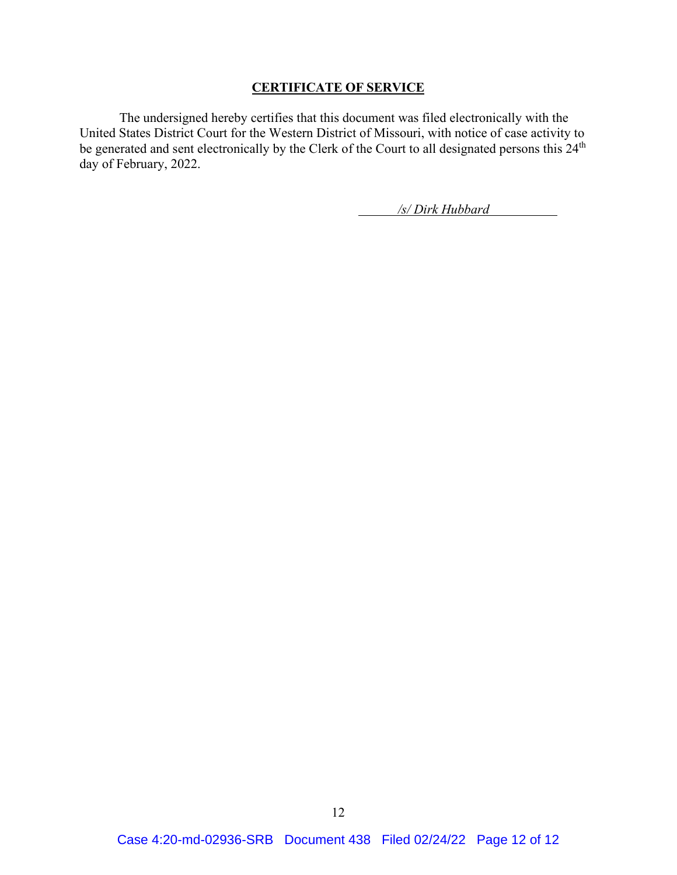#### **CERTIFICATE OF SERVICE**

The undersigned hereby certifies that this document was filed electronically with the United States District Court for the Western District of Missouri, with notice of case activity to be generated and sent electronically by the Clerk of the Court to all designated persons this 24<sup>th</sup> day of February, 2022.

*/s/ Dirk Hubbard*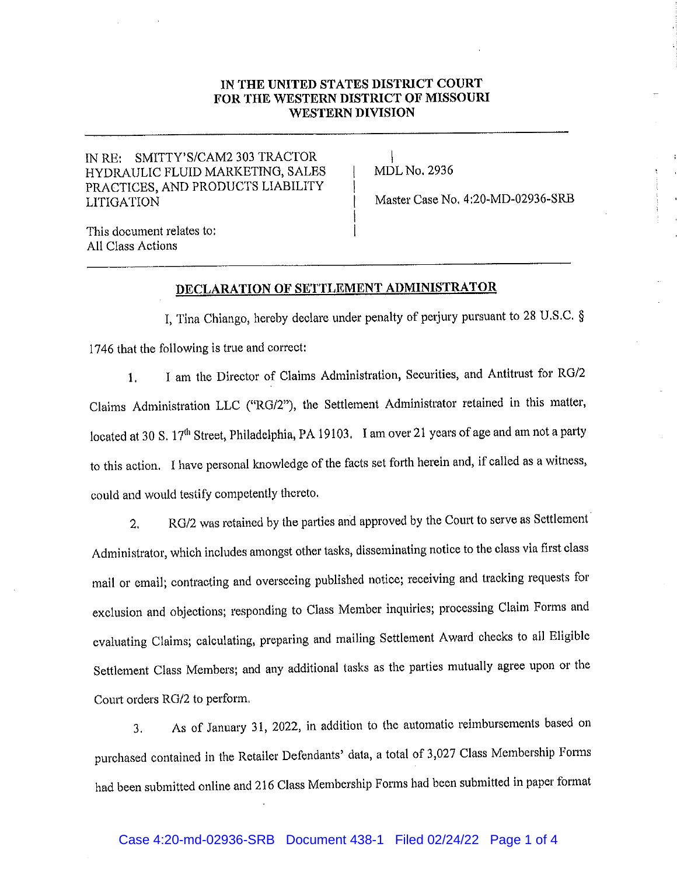#### IN THE UNITED STATES DISTRICT COURT FOR THE WESTERN DISTRICT OF MISSOURI **WESTERN DIVISION**

### IN RE: SMITTY'S/CAM2 303 TRACTOR HYDRAULIC FLUID MARKETING, SALES PRACTICES, AND PRODUCTS LIABILITY **LITIGATION**

**MDL No. 2936** 

Master Case No. 4:20-MD-02936-SRB

This document relates to: All Class Actions

#### DECLARATION OF SETTLEMENT ADMINISTRATOR

I, Tina Chiango, hereby declare under penalty of perjury pursuant to 28 U.S.C. § 1746 that the following is true and correct:

I am the Director of Claims Administration, Securities, and Antitrust for RG/2  $1<sub>1</sub>$ Claims Administration LLC ("RG/2"), the Settlement Administrator retained in this matter, located at 30 S. 17<sup>th</sup> Street, Philadelphia, PA 19103. I am over 21 years of age and am not a party to this action. I have personal knowledge of the facts set forth herein and, if called as a witness, could and would testify competently thereto.

RG/2 was retained by the parties and approved by the Court to serve as Settlement  $2.$ Administrator, which includes amongst other tasks, disseminating notice to the class via first class mail or email; contracting and overseeing published notice; receiving and tracking requests for exclusion and objections; responding to Class Member inquiries; processing Claim Forms and evaluating Claims; calculating, preparing and mailing Settlement Award checks to all Eligible Settlement Class Members; and any additional tasks as the parties mutually agree upon or the Court orders RG/2 to perform.

As of January 31, 2022, in addition to the automatic reimbursements based on 3. purchased contained in the Retailer Defendants' data, a total of 3,027 Class Membership Forms had been submitted online and 216 Class Membership Forms had been submitted in paper format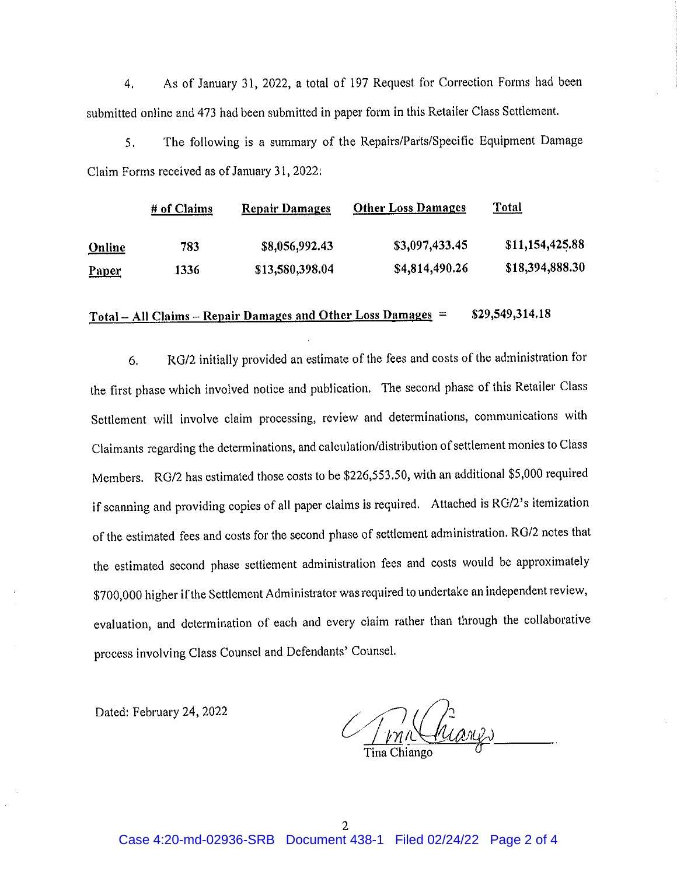As of January 31, 2022, a total of 197 Request for Correction Forms had been  $4.$ submitted online and 473 had been submitted in paper form in this Retailer Class Settlement.

The following is a summary of the Repairs/Parts/Specific Equipment Damage  $5<sub>1</sub>$ Claim Forms received as of January 31, 2022:

|               | # of Claims | <b>Repair Damages</b> | <b>Other Loss Damages</b> | <b>Total</b>    |
|---------------|-------------|-----------------------|---------------------------|-----------------|
| <b>Online</b> | 783         | \$8,056,992.43        | \$3,097,433.45            | \$11,154,425.88 |
| <b>Paper</b>  | 1336        | \$13,580,398.04       | \$4,814,490.26            | \$18,394,888.30 |

#### <u> Total – All Claims – Repair Damages and Other Loss Damages</u> = \$29,549,314.18

RG/2 initially provided an estimate of the fees and costs of the administration for 6. the first phase which involved notice and publication. The second phase of this Retailer Class Settlement will involve claim processing, review and determinations, communications with Claimants regarding the determinations, and calculation/distribution of settlement monies to Class Members. RG/2 has estimated those costs to be \$226,553.50, with an additional \$5,000 required if scanning and providing copies of all paper claims is required. Attached is RG/2's itemization of the estimated fees and costs for the second phase of settlement administration. RG/2 notes that the estimated second phase settlement administration fees and costs would be approximately \$700,000 higher if the Settlement Administrator was required to undertake an independent review, evaluation, and determination of each and every claim rather than through the collaborative process involving Class Counsel and Defendants' Counsel.

Dated: February 24, 2022

(hiang)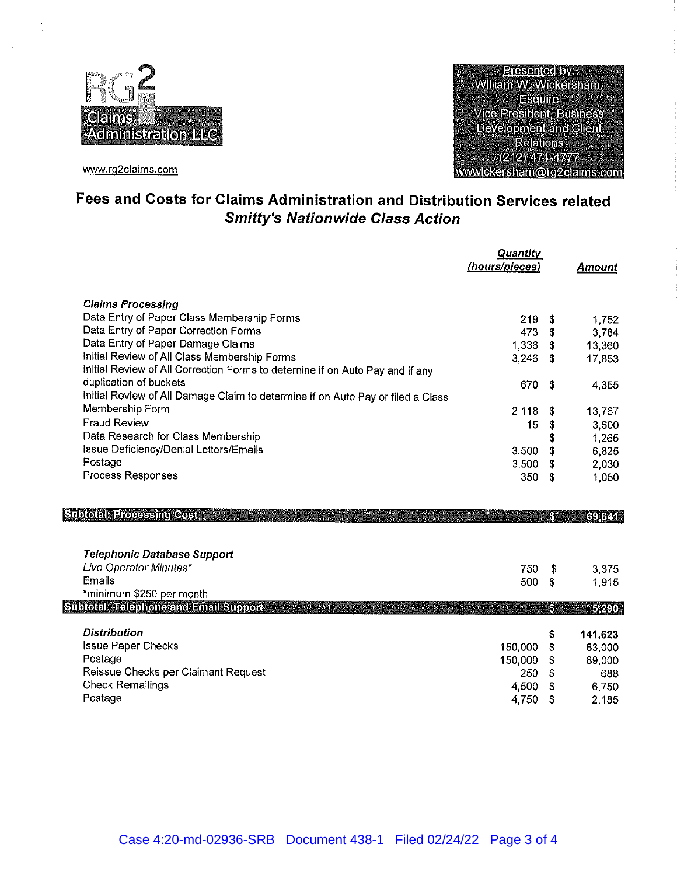

www.rg2claims.com

**Presented by:** William W. Wickersham, Esquire **Vice President, Business Development and Client Relations**  $(212)47144777$ wwwickersham@rg2claims.com

# Fees and Costs for Claims Administration and Distribution Services related **Smitty's Nationwide Class Action**

|                                                                                 | <b>Quantity</b><br>(hours/pieces) |     | <b>Amount</b> |
|---------------------------------------------------------------------------------|-----------------------------------|-----|---------------|
| <b>Claims Processing</b>                                                        |                                   |     |               |
| Data Entry of Paper Class Membership Forms                                      | 219.                              | \$  | 1752          |
| Data Entry of Paper Correction Forms                                            | 473                               | \$  | 3,784         |
| Data Entry of Paper Damage Claims                                               | 1.336                             | \$  | 13,360        |
| Initial Review of All Class Membership Forms                                    | 3.246                             | \$  | 17,853        |
| Initial Review of All Correction Forms to deternine if on Auto Pay and if any   |                                   |     |               |
| duplication of buckets                                                          | 670                               | \$  | 4 3 5 5       |
| Initial Review of All Damage Claim to determine if on Auto Pay or filed a Class |                                   |     |               |
| Membership Form                                                                 | 2,118                             | \$  | 13,767        |
| <b>Fraud Review</b>                                                             | 15                                | \$  | 3,600         |
| Data Research for Class Membership                                              |                                   | \$  | 1.265         |
| Issue Deficiency/Denial Letters/Emails                                          | 3.500                             | \$  | 6,825         |
| Postage                                                                         | 3,500                             | \$  | 2,030         |
| Process Responses                                                               | 350                               | \$  | 1,050         |
|                                                                                 |                                   |     |               |
| <b>Subtotal Processing Cost</b>                                                 |                                   | K.  | 69,641        |
|                                                                                 |                                   |     |               |
| Telephonic Database Support                                                     |                                   |     |               |
| Live Operator Minutes*                                                          | 750                               | -\$ | 3.375         |
| Emails                                                                          | 500                               | \$  | 1915          |
| *minimum \$250 per month                                                        |                                   |     |               |
| <b>Subtotal: Telephone and Email Support</b>                                    |                                   | S   | 5,290         |
| <b>Distribution</b>                                                             |                                   | \$  | 141,623       |
| <b>Issue Paper Checks</b>                                                       | 150,000                           | \$  | 63,000        |
| Postage                                                                         | 150,000                           | \$  | 69,000        |
| Reissue Checks per Claimant Request                                             | 250                               | \$  | 688           |
| <b>Check Remailings</b>                                                         | 4,500                             | \$  | 6,750         |
| Postage                                                                         | 4.750                             | \$  | 2,185         |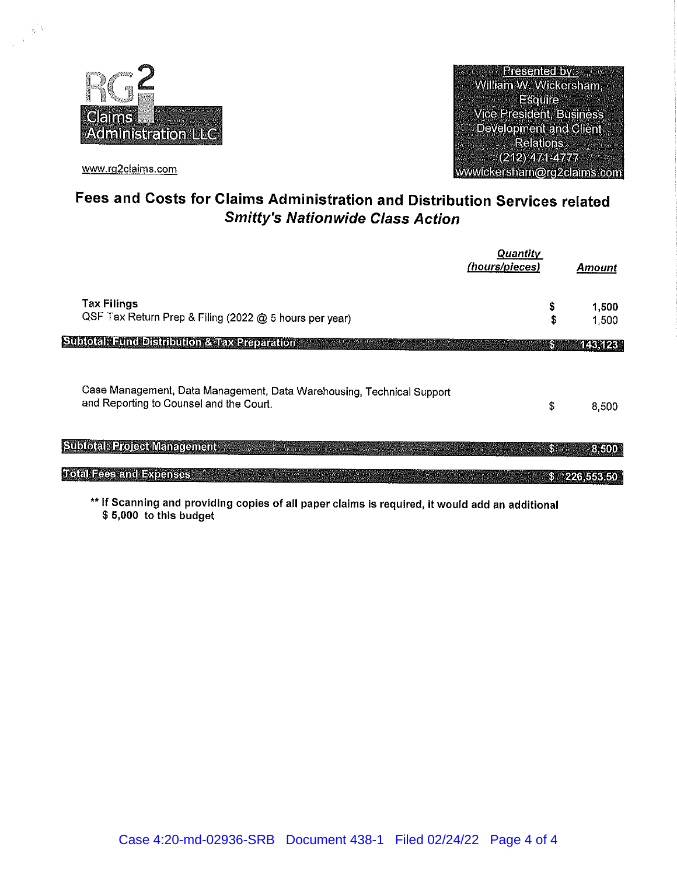

www.rg2claims.com

 $\frac{1}{2} \Delta$ 

**Presented by** William W. Wickersham, **Esquire** Vice President, Business **Development and Client Relations**  $(212) 471 - 4777$ wwwickersham@rg2claims.com

# Fees and Costs for Claims Administration and Distribution Services related **Smitty's Nationwide Class Action**

|                                                                                                                  | <b>Quantity</b><br>(hours/pieces) | <b>Amount</b>  |
|------------------------------------------------------------------------------------------------------------------|-----------------------------------|----------------|
| <b>Tax Filings</b><br>QSF Tax Return Prep & Filing (2022 @ 5 hours per year)                                     | \$<br>\$                          | 1,500<br>1.500 |
| <b>Subtotal: Fund Distribution &amp; Tax Preparation</b>                                                         | k.                                | 143.123        |
| Case Management, Data Management, Data Warehousing, Technical Support<br>and Reporting to Counsel and the Court. | \$                                | 8,500          |
| <b>Subtotal Project Management</b>                                                                               | S                                 | 3,500          |
| <b>Total Fees and Expenses</b>                                                                                   | K.                                | 226,553.50     |

\*\* If Scanning and providing copies of all paper claims is required, it would add an additional \$5,000 to this budget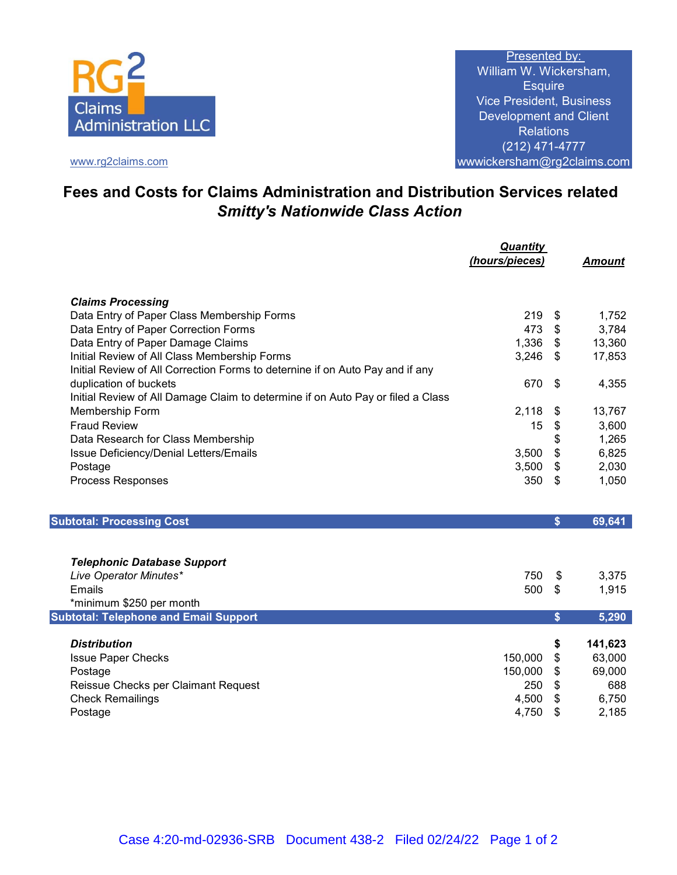

www.rg2claims.com

Presented by: William W. Wickersham, **Esquire** Vice President, Business Development and Client **Relations** (212) 471-4777 wwwickersham@rg2claims.com

# **Fees and Costs for Claims Administration and Distribution Services related**  *Smitty's Nationwide Class Action*

|                                                                                 | <b>Quantity</b> |                           |               |
|---------------------------------------------------------------------------------|-----------------|---------------------------|---------------|
|                                                                                 | (hours/pieces)  |                           | <b>Amount</b> |
|                                                                                 |                 |                           |               |
| <b>Claims Processing</b>                                                        |                 |                           |               |
| Data Entry of Paper Class Membership Forms                                      | 219             | \$                        | 1,752         |
| Data Entry of Paper Correction Forms                                            | 473             | $\mathfrak{F}$            | 3,784         |
| Data Entry of Paper Damage Claims                                               | 1,336           | \$                        | 13,360        |
| Initial Review of All Class Membership Forms                                    | 3,246           | \$                        | 17,853        |
| Initial Review of All Correction Forms to deternine if on Auto Pay and if any   |                 |                           |               |
| duplication of buckets                                                          | 670             | \$                        | 4,355         |
| Initial Review of All Damage Claim to determine if on Auto Pay or filed a Class |                 |                           |               |
| Membership Form                                                                 | 2,118           | \$                        | 13,767        |
| <b>Fraud Review</b>                                                             | 15              | \$                        | 3,600         |
| Data Research for Class Membership                                              |                 | \$                        | 1,265         |
| Issue Deficiency/Denial Letters/Emails                                          | 3,500           | \$                        | 6,825         |
| Postage                                                                         | 3,500           | $\boldsymbol{\$}$         | 2,030         |
| Process Responses                                                               | 350             | $\boldsymbol{\mathsf{s}}$ | 1,050         |
|                                                                                 |                 |                           |               |
|                                                                                 |                 |                           |               |
| <b>Subtotal: Processing Cost</b>                                                |                 | \$                        | 69,641        |
|                                                                                 |                 |                           |               |
|                                                                                 |                 |                           |               |
| <b>Telephonic Database Support</b><br>Live Operator Minutes*                    | 750             |                           | 3,375         |
| <b>Emails</b>                                                                   | 500             | \$<br>\$                  | 1,915         |
| *minimum \$250 per month                                                        |                 |                           |               |
| <b>Subtotal: Telephone and Email Support</b>                                    |                 | \$                        | 5,290         |
|                                                                                 |                 |                           |               |
| <b>Distribution</b>                                                             |                 | \$                        | 141,623       |
| <b>Issue Paper Checks</b>                                                       | 150,000         | \$                        | 63,000        |
| Postage                                                                         | 150,000         | \$                        | 69,000        |
| Reissue Checks per Claimant Request                                             | 250             | \$                        | 688           |
| <b>Check Remailings</b>                                                         | 4,500           | \$                        | 6,750         |
| Postage                                                                         | 4,750           | \$                        | 2,185         |